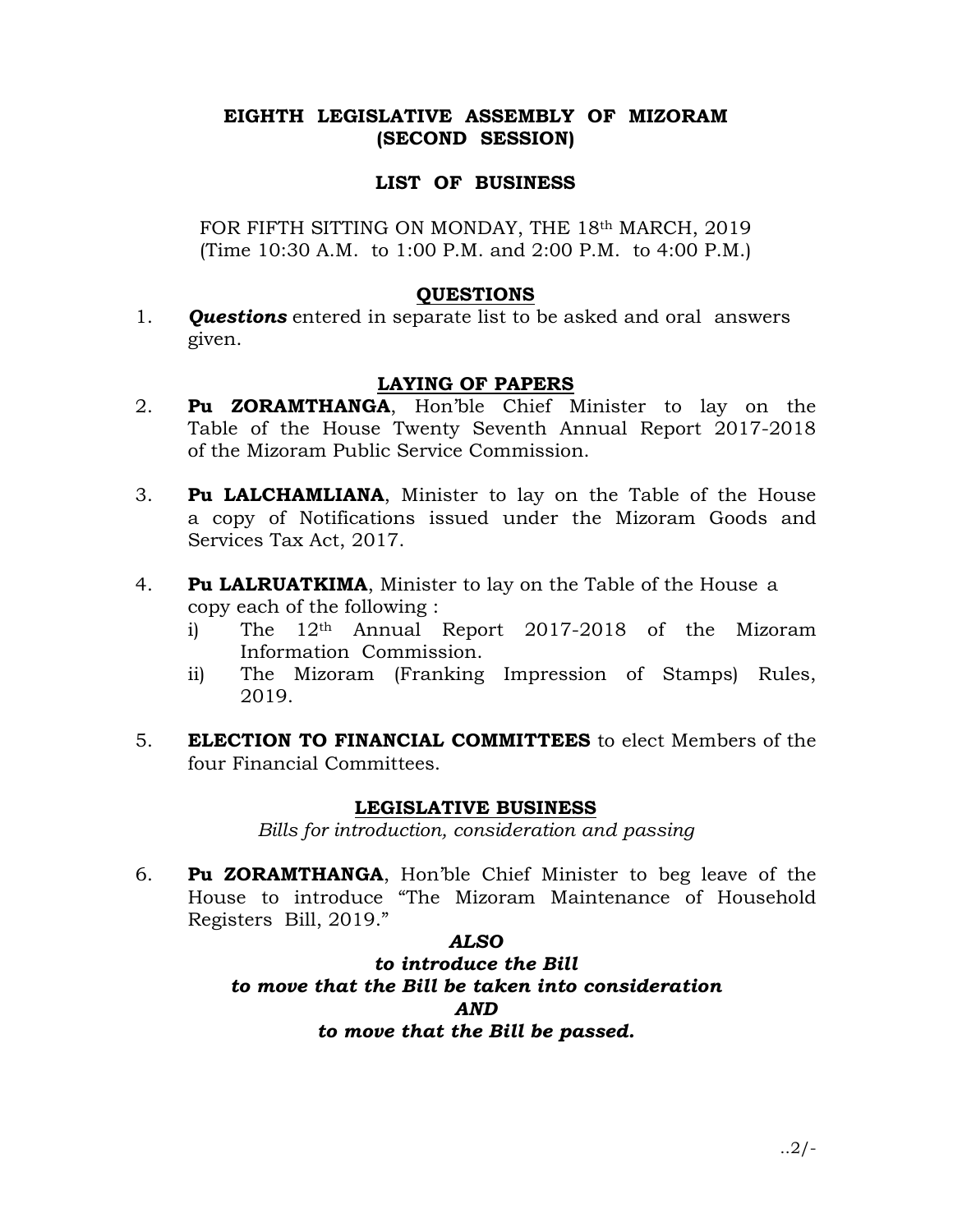## EIGHTH LEGISLATIVE ASSEMBLY OF MIZORAM (SECOND SESSION)

### LIST OF BUSINESS

FOR FIFTH SITTING ON MONDAY, THE 18th MARCH, 2019 (Time 10:30 A.M. to 1:00 P.M. and 2:00 P.M. to 4:00 P.M.)

### QUESTIONS

1. **Questions** entered in separate list to be asked and oral answers given.

# LAYING OF PAPERS

- 2. Pu ZORAMTHANGA, Hon'ble Chief Minister to lay on the Table of the House Twenty Seventh Annual Report 2017-2018 of the Mizoram Public Service Commission.
- 3. Pu LALCHAMLIANA, Minister to lay on the Table of the House a copy of Notifications issued under the Mizoram Goods and Services Tax Act, 2017.
- 4. Pu LALRUATKIMA, Minister to lay on the Table of the House a copy each of the following :
	- i) The 12<sup>th</sup> Annual Report 2017-2018 of the Mizoram Information Commission.
	- ii) The Mizoram (Franking Impression of Stamps) Rules, 2019.
- 5. ELECTION TO FINANCIAL COMMITTEES to elect Members of the four Financial Committees.

## LEGISLATIVE BUSINESS

Bills for introduction, consideration and passing

6. Pu ZORAMTHANGA, Hon'ble Chief Minister to beg leave of the House to introduce "The Mizoram Maintenance of Household Registers Bill, 2019."

#### ALSO

to introduce the Bill to move that the Bill be taken into consideration AND to move that the Bill be passed.